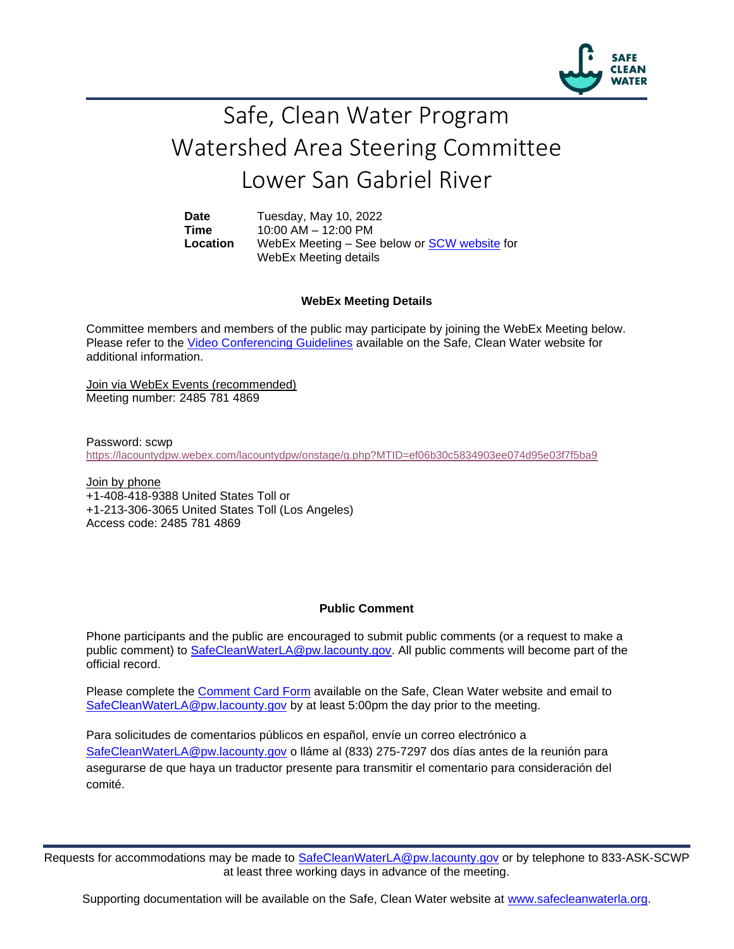

## Safe, Clean Water Program Watershed Area Steering Committee Lower San Gabriel River

**Date** Tuesday, May 10, 2022 **Time** 10:00 AM – 12:00 PM **Location** WebEx Meeting – See below or [SCW website](https://safecleanwaterla.org/lower-san-gabriel-river-watershed-area/) for WebEx Meeting details

## **WebEx Meeting Details**

Committee members and members of the public may participate by joining the WebEx Meeting below. Please refer to the [Video Conferencing Guidelines](https://safecleanwaterla.org/video-conference-guidelines/) available on the Safe, Clean Water website for additional information.

Join via WebEx Events (recommended) Meeting number: 2485 781 4869

Password: scwp <https://lacountydpw.webex.com/lacountydpw/onstage/g.php?MTID=ef06b30c5834903ee074d95e03f7f5ba9>

Join by phone +1-408-418-9388 United States Toll or +1-213-306-3065 United States Toll (Los Angeles) Access code: 2485 781 4869

## **Public Comment**

Phone participants and the public are encouraged to submit public comments (or a request to make a public comment) to [SafeCleanWaterLA@pw.lacounty.gov.](mailto:SafeCleanWaterLA@pw.lacounty.gov) All public comments will become part of the official record.

Please complete the Comment [Card Form](https://safecleanwaterla.org/wp-content/uploads/2020/04/Comment-Card-Form.pdf) available on the Safe, Clean Water website and email to [SafeCleanWaterLA@pw.lacounty.gov](mailto:SafeCleanWaterLA@pw.lacounty.govb) by at least 5:00pm the day prior to the meeting.

Para solicitudes de comentarios públicos en español, envíe un correo electrónico a [SafeCleanWaterLA@pw.lacounty.gov](mailto:SafeCleanWaterLA@pw.lacounty.gov) o lláme al (833) 275-7297 dos días antes de la reunión para asegurarse de que haya un traductor presente para transmitir el comentario para consideración del comité.

Requests for accommodations may be made to [SafeCleanWaterLA@pw.lacounty.gov](mailto:SafeCleanWaterLA@pw.lacounty.gov) or by telephone to 833-ASK-SCWP at least three working days in advance of the meeting.

Supporting documentation will be available on the Safe, Clean Water website at [www.safecleanwaterla.org.](http://www.safecleanwaterla.org/)